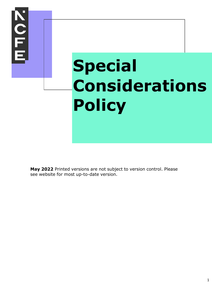

**May 2022** Printed versions are not subject to version control. Please see website for most up-to-date version.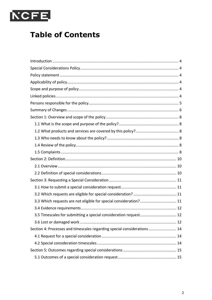

# **Table of Contents**

| 3.3 Which requests are not eligible for special consideration? 11        |  |
|--------------------------------------------------------------------------|--|
|                                                                          |  |
| 3.5 Timescales for submitting a special consideration request 12         |  |
|                                                                          |  |
| Section 4: Processes and timescales regarding special considerations  14 |  |
|                                                                          |  |
|                                                                          |  |
|                                                                          |  |
|                                                                          |  |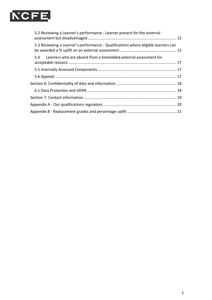

| 5.2 Reviewing a Learner's performance - Learner present for the external           |  |
|------------------------------------------------------------------------------------|--|
| 5.3 Reviewing a Learner's performance - Qualifications where eligible learners can |  |
| 5.4 Learners who are absent from a timetabled external assessment for              |  |
|                                                                                    |  |
|                                                                                    |  |
|                                                                                    |  |
|                                                                                    |  |
|                                                                                    |  |
|                                                                                    |  |
|                                                                                    |  |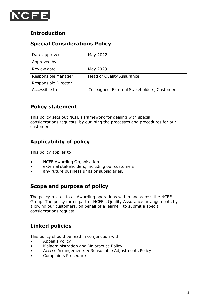<span id="page-3-0"></span>

### **Introduction**

### <span id="page-3-1"></span>**Special Considerations Policy**

| Date approved        | May 2022                                     |
|----------------------|----------------------------------------------|
| Approved by          |                                              |
| Review date          | May 2023                                     |
| Responsible Manager  | <b>Head of Quality Assurance</b>             |
| Responsible Director |                                              |
| Accessible to        | Colleagues, External Stakeholders, Customers |

### <span id="page-3-2"></span>**Policy statement**

This policy sets out NCFE's framework for dealing with special considerations requests, by outlining the processes and procedures for our customers.

### <span id="page-3-3"></span>**Applicability of policy**

This policy applies to:

- NCFE Awarding Organisation
- external stakeholders, including our customers
- any future business units or subsidiaries.

### <span id="page-3-4"></span>**Scope and purpose of policy**

The policy relates to all Awarding operations within and across the NCFE Group. The policy forms part of NCFE's Quality Assurance arrangements by allowing our customers, on behalf of a learner, to submit a special considerations request.

### <span id="page-3-5"></span>**Linked policies**

This policy should be read in conjunction with:

- Appeals Policy
- Maladministration and Malpractice Policy
- Access Arrangements & Reasonable Adjustments Policy
- Complaints Procedure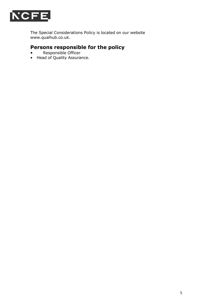

The Special Considerations Policy is located on our website [www.qualhub.co.uk.](http://www.qualhub.co.uk/)

## <span id="page-4-0"></span>**Persons responsible for the policy**

- Responsible Officer
- Head of Quality Assurance.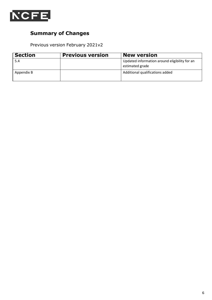<span id="page-5-0"></span>

### **Summary of Changes**

Previous version February 2021v2

| <b>Section</b> | <b>Previous version</b> | <b>New version</b>                                               |
|----------------|-------------------------|------------------------------------------------------------------|
| 5.4            |                         | Updated information around eligibility for an<br>estimated grade |
| Appendix B     |                         | Additional qualifications added                                  |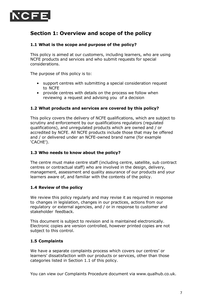<span id="page-6-0"></span>

### **Section 1: Overview and scope of the policy**

#### <span id="page-6-1"></span>**1.1 What is the scope and purpose of the policy?**

This policy is aimed at our customers, including learners, who are using NCFE products and services and who submit requests for special considerations.

The purpose of this policy is to:

- support centres with submitting a special consideration request to NCFE
- provide centres with details on the process we follow when reviewing a request and advising you of a decision

#### <span id="page-6-2"></span>**1.2 What products and services are covered by this policy?**

This policy covers the delivery of NCFE qualifications, which are subject to scrutiny and enforcement by our qualifications regulators (regulated qualifications), and unregulated products which are owned and / or accredited by NCFE. All NCFE products include those that may be offered and / or delivered under an NCFE-owned brand name (for example 'CACHE').

#### <span id="page-6-3"></span>**1.3 Who needs to know about the policy?**

The centre must make centre staff (including centre, satellite, sub contract centres or contractual staff) who are involved in the design, delivery, management, assessment and quality assurance of our products and your learners aware of, and familiar with the contents of the policy.

#### <span id="page-6-4"></span>**1.4 Review of the policy**

We review this policy regularly and may revise it as required in response to changes in legislation, changes in our practices, actions from our regulatory or external agencies, and / or in response to customer and stakeholder feedback.

This document is subject to revision and is maintained electronically. Electronic copies are version controlled, however printed copies are not subject to this control.

#### <span id="page-6-5"></span>**1.5 Complaints**

We have a separate complaints process which covers our centres' or learners' dissatisfaction with our products or services, other than those categories listed in Section 1.1 of this policy.

You can view our Complaints Procedure document via [www.qualhub.co.uk.](http://www.qualhub.co.uk/)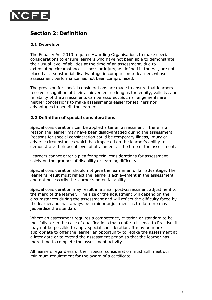<span id="page-7-0"></span>

### **Section 2: Definition**

#### <span id="page-7-1"></span>**2.1 Overview**

The Equality Act 2010 requires Awarding Organisations to make special considerations to ensure learners who have not been able to demonstrate their usual level of abilities at the time of an assessment, due to extenuating circumstances, illness or injury, as defined in the Act, are not placed at a substantial disadvantage in comparison to learners whose assessment performance has not been compromised.

The provision for special considerations are made to ensure that learners receive recognition of their achievement so long as the equity, validity, and reliability of the assessments can be assured. Such arrangements are neither concessions to make assessments easier for learners nor advantages to benefit the learners.

#### <span id="page-7-2"></span>**2.2 Definition of special considerations**

Special considerations can be applied after an assessment if there is a reason the learner may have been disadvantaged during the assessment. Reasons for special consideration could be temporary illness, injury or adverse circumstances which has impacted on the learner's ability to demonstrate their usual level of attainment at the time of the assessment.

Learners cannot enter a plea for special considerations for assessment solely on the grounds of disability or learning difficulty.

Special consideration should not give the learner an unfair advantage. The learner's result must reflect the learner's achievement in the assessment and not necessarily the learner's potential ability.

Special consideration may result in a small post-assessment adjustment to the mark of the learner. The size of the adjustment will depend on the circumstances during the assessment and will reflect the difficulty faced by the learner, but will always be a minor adjustment as to do more may jeopardise the standard.

Where an assessment requires a competence, criterion or standard to be met fully, or in the case of qualifications that confer a Licence to Practise, it may not be possible to apply special consideration. It may be more appropriate to offer the learner an opportunity to retake the assessment at a later date or to extend the assessment period so that the learner has more time to complete the assessment activity.

All learners regardless of their special consideration must still meet our minimum requirement for the award of a certificate.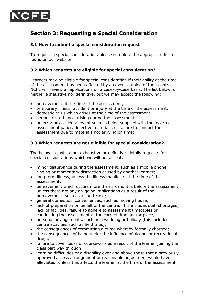<span id="page-8-0"></span>

### **Section 3: Requesting a Special Consideration**

#### <span id="page-8-1"></span>**3.1 How to submit a special consideration request**

To request a special consideration, please complete the appropriate form found on our website.

#### <span id="page-8-2"></span>**3.2 Which requests are eligible for special consideration?**

Learners may be eligible for special consideration if their ability at the time of the assessment has been affected by an event outside of their control. NCFE will review all applications on a case-by-case basis. The list below is neither exhaustive nor definitive, but we may accept the following:

- bereavement at the time of the assessment;
- temporary illness, accident or injury at the time of the assessment;
- domestic crisis which arises at the time of the assessment;
- serious disturbance arising during the assessment;
- an error or accidental event such as being supplied with the incorrect assessment paper, defective materials, or failure to conduct the assessment due to materials not arriving on time;

#### <span id="page-8-3"></span>**3.3 Which requests are not eligible for special consideration?**

The below list, whilst not exhaustive or definitive, details requests for special considerations which we will not accept:

- minor disturbance during the assessment, such as a mobile phone ringing or momentary distraction caused by another learner;
- long term illness, unless the illness manifests at the time of the assessment;
- bereavement which occurs more than six months before the assessment, unless there are any on-going implications as a result of the bereavement, such as a court case;
- general domestic inconveniences, such as moving house;
- lack of preparation on behalf of the centre. This includes staff shortages, lack of facilities, failure to adhere to assessment timetables or conducting the assessment at the correct time and/or place;
- personal arrangements, such as a wedding or holiday (this includes centre activities such as field trips);
- the consequences of committing a crime whereby formally charged;
- the consequences of being under the influence of alcohol or recreational drugs;
- failure to cover tasks or coursework as a result of the learner joining the class part way through;
- learning difficulties or a disability over and above those that a previously approved access arrangement or reasonable adjustment would have alleviated, unless this affects the learner at the time of the assessment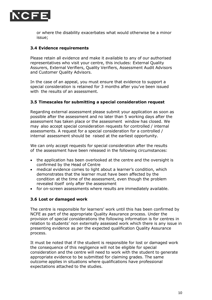

or where the disability exacerbates what would otherwise be a minor issue;

#### <span id="page-9-0"></span>**3.4 Evidence requirements**

Please retain all evidence and make it available to any of our authorised representatives who visit your centre, this includes: External Quality Assurers, External Verifiers, Quality Verifiers, Assessment Audit Advisors and Customer Quality Advisors.

In the case of an appeal, you must ensure that evidence to support a special consideration is retained for 3 months after you've been issued with the results of an assessment.

#### <span id="page-9-1"></span>**3.5 Timescales for submitting a special consideration request**

Regarding external assessment please submit your application as soon as possible after the assessment and no later than 5 working days after the assessment has taken place or the assessment window has closed. We may also accept special consideration requests for controlled / internal assessments. A request for a special consideration for a controlled / internal assessment should be raised at the earliest opportunity.

We can only accept requests for special consideration after the results of the assessment have been released in the following circumstances:

- the application has been overlooked at the centre and the oversight is confirmed by the Head of Centre
- medical evidence comes to light about a learner's condition, which demonstrates that the learner must have been affected by the condition at the time of the assessment, even though the problem revealed itself only after the assessment
- for on-screen assessments where results are immediately available.

#### <span id="page-9-2"></span>**3.6 Lost or damaged work**

The centre is responsible for learners' work until this has been confirmed by NCFE as part of the appropriate Quality Assurance process. Under the provision of special considerations the following information is for centres in relation to students' non externally assessed work which there is any issue in presenting evidence as per the expected qualification Quality Assurance process.

It must be noted that if the student is responsible for lost or damaged work the consequence of this negligence will not be eligible for special consideration and the centre will need to work with the student to generate appropriate evidence to be submitted for claiming grades. The same outcome applies in situations where qualifications have professional expectations attached to the studies.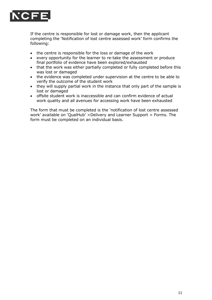

If the centre is responsible for lost or damage work, then the applicant completing the 'Notification of lost centre assessed work' form confirms the following:

- the centre is responsible for the loss or damage of the work
- every opportunity for the learner to re-take the assessment or produce final portfolio of evidence have been explored/exhausted
- that the work was either partially completed or fully completed before this was lost or damaged
- the evidence was completed under supervision at the centre to be able to verify the outcome of the student work
- they will supply partial work in the instance that only part of the sample is lost or damaged
- offsite student work is inaccessible and can confirm evidence of actual work quality and all avenues for accessing work have been exhausted

The form that must be completed is the 'notification of lost centre assessed work' available on 'QualHub' >Delivery and Learner Support > Forms. The form must be completed on an individual basis.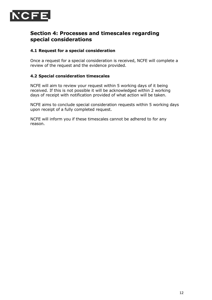<span id="page-11-0"></span>

### **Section 4: Processes and timescales regarding special considerations**

#### <span id="page-11-1"></span>**4.1 Request for a special consideration**

Once a request for a special consideration is received, NCFE will complete a review of the request and the evidence provided.

#### <span id="page-11-2"></span>**4.2 Special consideration timescales**

NCFE will aim to review your request within 5 working days of it being received. If this is not possible it will be acknowledged within 2 working days of receipt with notification provided of what action will be taken.

NCFE aims to conclude special consideration requests within 5 working days upon receipt of a fully completed request.

NCFE will inform you if these timescales cannot be adhered to for any reason.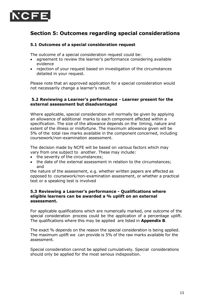<span id="page-12-0"></span>

### **Section 5: Outcomes regarding special considerations**

#### <span id="page-12-1"></span>**5.1 Outcomes of a special consideration request**

The outcome of a special consideration request could be:

- agreement to review the learner's performance considering available evidence
- rejection of your request based on investigation of the circumstances detailed in your request.

Please note that an approved application for a special consideration would not necessarily change a learner's result.

#### <span id="page-12-2"></span>**5.2 Reviewing a Learner's performance - Learner present for the external assessment but disadvantaged**

Where applicable, special consideration will normally be given by applying an allowance of additional marks to each component affected within a specification. The size of the allowance depends on the timing, nature and extent of the illness or misfortune. The maximum allowance given will be 5% of the total raw marks available in the component concerned, including coursework/non-examination assessment.

The decision made by NCFE will be based on various factors which may vary from one subject to another. These may include:

- the severity of the circumstances;
- the date of the external assessment in relation to the circumstances; and

the nature of the assessment, e.g. whether written papers are affected as opposed to coursework/non-examination assessment, or whether a practical test or a speaking test is involved

#### <span id="page-12-3"></span>**5.3 Reviewing a Learner's performance - Qualifications where eligible learners can be awarded a % uplift on an external assessment.**

For applicable qualifications which are numerically marked, one outcome of the special consideration process could be the application of a percentage uplift. The qualifications where this may be applied are listed in **Appendix B**.

The exact % depends on the reason the special consideration is being applied. The maximum uplift we can provide is 5% of the raw marks available for the assessment.

Special consideration cannot be applied cumulatively. Special considerations should only be applied for the most serious indisposition.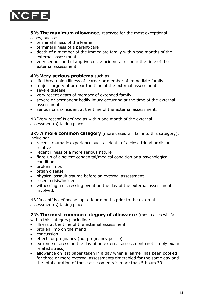

**5% The maximum allowance**, reserved for the most exceptional cases, such as

- terminal illness of the learner
- terminal illness of a parent/carer
- death of a member of the immediate family within two months of the external assessment
- very serious and disruptive crisis/incident at or near the time of the external assessment.

#### **4% Very serious problems** such as:

- life-threatening illness of learner or member of immediate family
- major surgery at or near the time of the external assessment
- severe disease
- very recent death of member of extended family
- severe or permanent bodily injury occurring at the time of the external assessment
- serious crisis/incident at the time of the external assessment.

NB 'Very recent' is defined as within one month of the external assessment(s) taking place.

**3% A more common category** (more cases will fall into this category), including:

- recent traumatic experience such as death of a close friend or distant relative
- recent illness of a more serious nature
- flare-up of a severe congenital/medical condition or a psychological condition
- broken limbs
- organ disease
- physical assault trauma before an external assessment
- recent crisis/incident
- witnessing a distressing event on the day of the external assessment involved.

NB 'Recent' is defined as up to four months prior to the external assessment(s) taking place.

**2% The most common category of allowance** (most cases will fall within this category) including:

- illness at the time of the external assessment
- broken limb on the mend
- concussion
- effects of pregnancy (not pregnancy per se)
- extreme distress on the day of an external assessment (not simply exam related stress)
- allowance on last paper taken in a day when a learner has been booked for three or more external assessments timetabled for the same day and the total duration of those assessments is more than 5 hours 30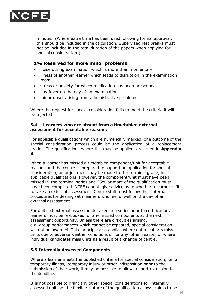

minutes. (Where extra time has been used following formal approval, this should be included in the calculation. Supervised rest breaks must not be included in the total duration of the papers when applying for special consideration.)

#### **1% Reserved for more minor problems:**

- noise during examination which is more than momentary
- illness of another learner which leads to disruption in the examination room
- stress or anxiety for which medication has been prescribed
- hay fever on the day of an examination
- minor upset arising from administrative problems.

Where the request for special consideration fails to meet the criteria it will be rejected.

#### <span id="page-14-0"></span>**5.4 Learners who are absent from a timetabled external assessment for acceptable reasons**

For applicable qualifications which are numerically marked, one outcome of the special consideration process could be the application of a replacement grade. The qualifications where this may be applied are listed in **Appendix B**.

When a learner has missed a timetabled component/unit for acceptable reasons and the centre is prepared to support an application for special consideration, an adjustment may be made to the terminal grade, in applicable qualifications. However, the component/unit must have been missed in the terminal series and 25% or more of the qualification must have been completed. NCFE cannot give advice as to whether a learner is fit to take an external assessment. Centre staff must follow their internal procedures for dealing with learners who feel unwell on the day of an external assessment.

For unitised external assessments taken in a series prior to certification, learners must be re-booked for any missed components at the next assessment opportunity. Unless there are difficulties arising, e.g. group performances which cannot be repeated, special consideration will not be awarded. This principle also applies where entire cohorts miss units due to adverse weather conditions or for any other reason, or where individual candidates miss units as a result of a change of centre.

#### <span id="page-14-1"></span>**5.5 Internally Assessed Components**

Where a learner meets the published criteria for special consideration, i.e. a temporary illness, temporary injury or other indisposition prior to the submission of their work, it may be possible to allow a short extension to the deadline.

It is not possible to grant any other special considerations for internally assessed units as the flexible nature of the qualification allows claims to be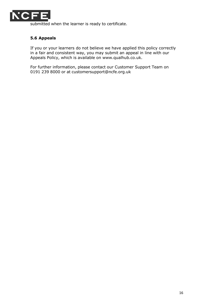

<span id="page-15-0"></span>submitted when the learner is ready to certificate.

#### **5.6 Appeals**

If you or your learners do not believe we have applied this policy correctly in a fair and consistent way, you may submit an appeal in line with our Appeals Policy, which is available on [www.qualhub.co.uk.](http://www.qualhub.co.uk/)

For further information, please contact our Customer Support Team on 0191 239 8000 or at [customersupport@ncfe.org.uk](mailto:customersupport@ncfe.org.uk)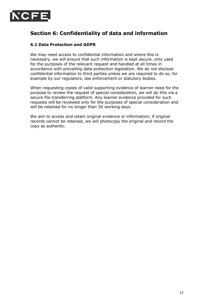<span id="page-16-0"></span>

### **Section 6: Confidentiality of data and information**

#### <span id="page-16-1"></span>**6.1 Data Protection and GDPR**

We may need access to confidential information and where this is necessary, we will ensure that such information is kept secure, only used for the purposes of the relevant request and handled at all times in accordance with prevailing data protection legislation. We do not disclose confidential information to third parties unless we are required to do so, for example by our regulators, law enforcement or statutory bodies.

When requesting copies of valid supporting evidence of learner need for the purpose to review the request of special consideration, we will do this via a secure file transferring platform. Any learner evidence provided for such requests will be reviewed only for the purposes of special consideration and will be retained for no longer than 30 working days.

We aim to access and retain original evidence or information; if original records cannot be retained, we will photocopy the original and record the copy as authentic.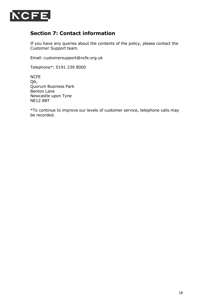<span id="page-17-0"></span>

### **Section 7: Contact information**

If you have any queries about the contents of the policy, please contact the Customer Support team.

Email: [customersupport@ncfe.org.uk](mailto:customersupport@ncfe.org.uk)

Telephone\*: 0191 239 8000

NCFE Q6, Quorum Business Park Benton Lane Newcastle upon Tyne NE12 8BT

\*To continue to improve our levels of customer service, telephone calls may be recorded.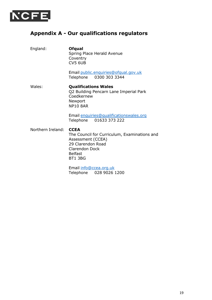<span id="page-18-0"></span>

### **Appendix A - Our qualifications regulators**

England: **Ofqual**

Spring Place Herald Avenue Coventry CV5 6UB

Email [public.enquiries@ofqual.gov.uk](mailto:public.enquiries@ofqual.gov.uk) Telephone 0300 303 3344

Wales: **Qualifications Wales** Q2 Building Pencarn Lane Imperial Park Coedkernew Newport NP10 8AR

> Email [enquiries@qualificationswales.org](mailto:enquiries@qualificationswales.org) Telephone 01633 373 222

Northern Ireland: **CCEA**

The Council for Curriculum, Examinations and Assessment (CCEA) 29 Clarendon Road Clarendon Dock Belfast BT1 3BG

Email [info@ccea.org.uk](mailto:info@ccea.org.uk) Telephone 028 9026 1200